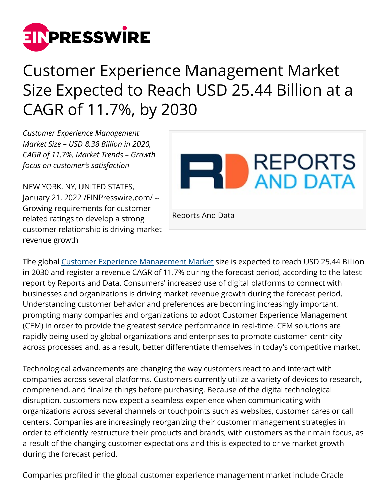

## Customer Experience Management Market Size Expected to Reach USD 25.44 Billion at a CAGR of 11.7%, by 2030

*Customer Experience Management Market Size – USD 8.38 Billion in 2020, CAGR of 11.7%, Market Trends – Growth focus on customer's satisfaction*

NEW YORK, NY, UNITED STATES, January 21, 2022 /[EINPresswire.com](http://www.einpresswire.com)/ -- Growing requirements for customerrelated ratings to develop a strong customer relationship is driving market revenue growth



The global [Customer Experience Management Market](https://www.reportsanddata.com/report-detail/customer-experience-management-market) size is expected to reach USD 25.44 Billion in 2030 and register a revenue CAGR of 11.7% during the forecast period, according to the latest report by Reports and Data. Consumers' increased use of digital platforms to connect with businesses and organizations is driving market revenue growth during the forecast period. Understanding customer behavior and preferences are becoming increasingly important, prompting many companies and organizations to adopt Customer Experience Management (CEM) in order to provide the greatest service performance in real-time. CEM solutions are rapidly being used by global organizations and enterprises to promote customer-centricity across processes and, as a result, better differentiate themselves in today's competitive market.

Technological advancements are changing the way customers react to and interact with companies across several platforms. Customers currently utilize a variety of devices to research, comprehend, and finalize things before purchasing. Because of the digital technological disruption, customers now expect a seamless experience when communicating with organizations across several channels or touchpoints such as websites, customer cares or call centers. Companies are increasingly reorganizing their customer management strategies in order to efficiently restructure their products and brands, with customers as their main focus, as a result of the changing customer expectations and this is expected to drive market growth during the forecast period.

Companies profiled in the global customer experience management market include Oracle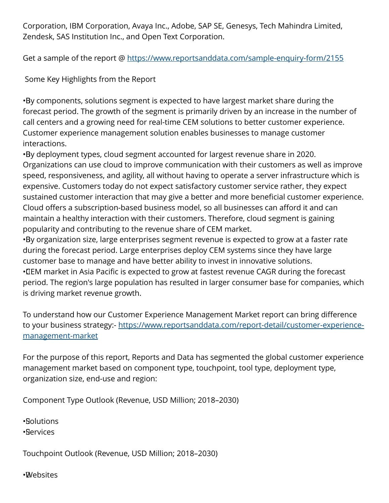Corporation, IBM Corporation, Avaya Inc., Adobe, SAP SE, Genesys, Tech Mahindra Limited, Zendesk, SAS Institution Inc., and Open Text Corporation.

Get a sample of the report @<https://www.reportsanddata.com/sample-enquiry-form/2155>

Some Key Highlights from the Report

• By components, solutions segment is expected to have largest market share during the forecast period. The growth of the segment is primarily driven by an increase in the number of call centers and a growing need for real-time CEM solutions to better customer experience. Customer experience management solution enables businesses to manage customer interactions.

• By deployment types, cloud segment accounted for largest revenue share in 2020. Organizations can use cloud to improve communication with their customers as well as improve speed, responsiveness, and agility, all without having to operate a server infrastructure which is expensive. Customers today do not expect satisfactory customer service rather, they expect sustained customer interaction that may give a better and more beneficial customer experience. Cloud offers a subscription-based business model, so all businesses can afford it and can maintain a healthy interaction with their customers. Therefore, cloud segment is gaining popularity and contributing to the revenue share of CEM market.

• By organization size, large enterprises segment revenue is expected to grow at a faster rate during the forecast period. Large enterprises deploy CEM systems since they have large customer base to manage and have better ability to invest in innovative solutions. • CEM market in Asia Pacific is expected to grow at fastest revenue CAGR during the forecast period. The region's large population has resulted in larger consumer base for companies, which is driving market revenue growth.

To understand how our Customer Experience Management Market report can bring difference to your business strategy:- [https://www.reportsanddata.com/report-detail/customer-experience](https://www.reportsanddata.com/report-detail/customer-experience-management-market)[management-market](https://www.reportsanddata.com/report-detail/customer-experience-management-market)

For the purpose of this report, Reports and Data has segmented the global customer experience management market based on component type, touchpoint, tool type, deployment type, organization size, end-use and region:

Component Type Outlook (Revenue, USD Million; 2018–2030)

• Solutions

• Services

Touchpoint Outlook (Revenue, USD Million; 2018–2030)

• Websites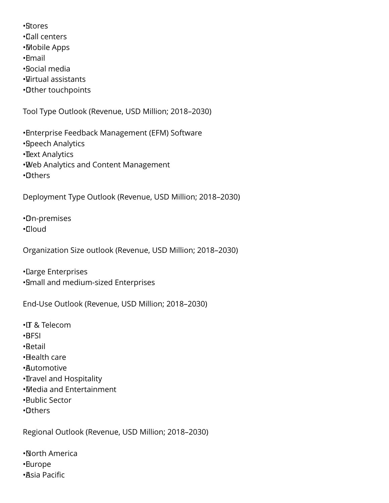- • Stores
- • Call centers
- • Mobile Apps
- • Email
- • Social media
- • Virtual assistants
- • Other touchpoints

Tool Type Outlook (Revenue, USD Million; 2018–2030)

- • Enterprise Feedback Management (EFM) Software
- • Speech Analytics
- **Text Analytics**
- • Web Analytics and Content Management
- • Others

Deployment Type Outlook (Revenue, USD Million; 2018–2030)

• On-premises

• Cloud

Organization Size outlook (Revenue, USD Million; 2018–2030)

• Large Enterprises • Small and medium-sized Enterprises

End-Use Outlook (Revenue, USD Million; 2018–2030)

- • IT & Telecom
- • BFSI
- • Retail
- • Health care
- • Automotive
- **II**ravel and Hospitality
- • Media and Entertainment
- • Public Sector
- • Others

Regional Outlook (Revenue, USD Million; 2018–2030)

• North America

- • Europe
- • Asia Pacific